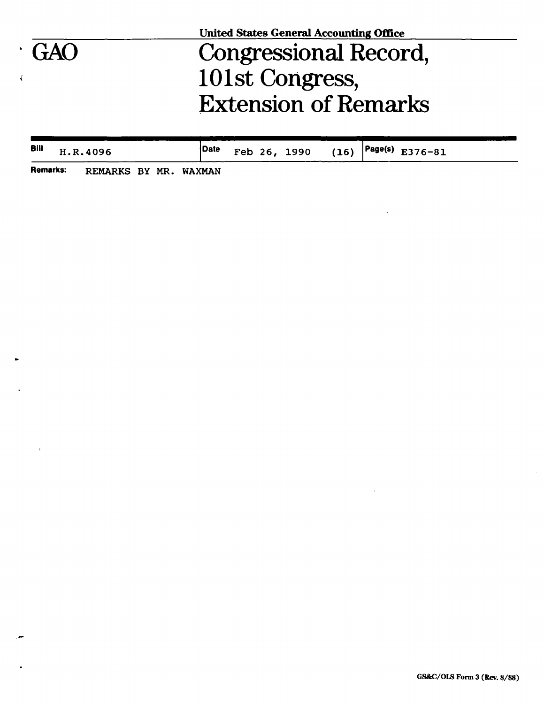|             | <b>United States General Accounting Office</b> |  |
|-------------|------------------------------------------------|--|
| $\cdot$ GAO | <b>Congressional Record,</b>                   |  |
|             | 101st Congress,                                |  |
|             | <b>Extension of Remarks</b>                    |  |
|             |                                                |  |

| <b>Bill</b> | H.R.4096 | Date |  |  | Feb 26, 1990 (16) $ $ Page(s) E376-81 |
|-------------|----------|------|--|--|---------------------------------------|
| _____       |          |      |  |  |                                       |

 $\cdot$ 

 $\overline{a}$ 

**Remarks: REMARKS BY MR. WAXMAN** 

 $\ddot{\phantom{0}}$ 

 $\ddot{\phantom{a}}$ 

۰.,

 $\bullet$ 

 $\rightarrow$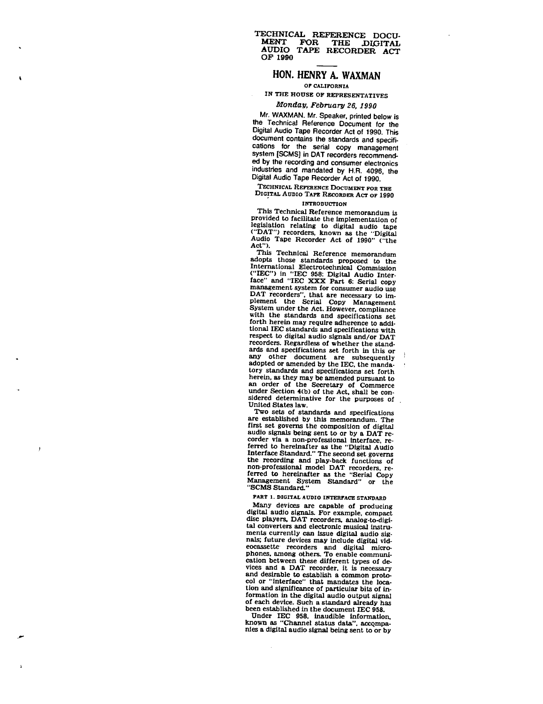#### **TECHNICAL REFERENCE DOCU-MENT FOR THE JDIOITAL AUDIO TAPE RECORDER ACT OF 1990**

# **HON. HENRY A. WAXMAN**

*OT* **CALIFORNIA** 

# **IN THE HOUSE OF REPRESENTATIVES**

## *Monday, February 26,1990*

Mr. WAXMAN. Mr. Speaker, printed below is the Technical Reference Document for the Digital Audio Tape Recorder Act of 1990. This document contains the standards and specifications for the serial copy management system [SCMS] in DAT recorders recommended by the recording and consumer electronics industries and mandated by H.R. 4096, the Digital Audio Tape Recorder Act of 1990.

# TECHNICAL REFERENCE DOCUMENT FOR THE

### DIGITAL AUDIO TAPE RECORDER ACT OF 1990 INTRODUCTION

This Technical Reference memorandum is provided to facilitate the implementation of legislation relating to digital audio tape ("DAT") recorders, known as the "Digital Audio Tape Recorder Act of 1990" ("the Act").

This Technical Reference memorandum adopts those standards proposed to the International Electrotechnical Commission ("IEC") in "IEC 958: Digital Audio Inter-face" and "IEC XXX Part 6: Serial copy management system for consumer audio use DAT recorders", that are necessary to im-plement the Serial Copy Management System under the Act. However, compliance with the standards and specifications set forth herein may require adherence to additional IEC standards and specifications with respect to digital audio signals and/or DAT recorders. Regardless of whether the standards and specifications set forth in this or any other document are subsequently adopted or amended by the IEC, the mandatory standards and specifications set forth herein, as they may be amended pursuant to an order of the Secretary of Commerce under Section 4(b) of the Act. shall be considered determinative for the purposes of United States law.

Two sets of standards and specifications are established by this memorandum. The first set governs the composition of digital audio signals being sent to or by a DAT re-corder via a non-professional interface, referred to hereinafter as the "Digital Audio Interface Standard." The second set governs the recording and play-back functions of non-professional model DAT recorders, re-ferred to hereinafter as the "Serial Copy Management System Standard" or the "SCMS Standard."

J

#### PART 1. DIGITAL AUDIO INTERFACE STANDARD

Many devices are capable of producing<br>Many devices are capable of producing<br>digital audio signals. For example, compact<br>disc players, DAT recorders, disc players, DAT recorders, analog-to-digital converters and electronic musical instruments currently can issue digital audio signals; future devices may include digital vidnais; future devices may include digital videocassette recorders and digital micro-<br>phones, among others. To enable communication between these different types of devices and a DAT recorder, it is necessary and desirable to establish a common proto-<br>col or "interface" that mandates the loca-<br>tion or interface" tion and significance of particular bits of information in the digital audio output signal of each device. Such a standard already has<br>been established in the document IEC 958.

Under IEC 958, inaudible information, known as "Channel status data", accompanies a digital audio signal being sent to or by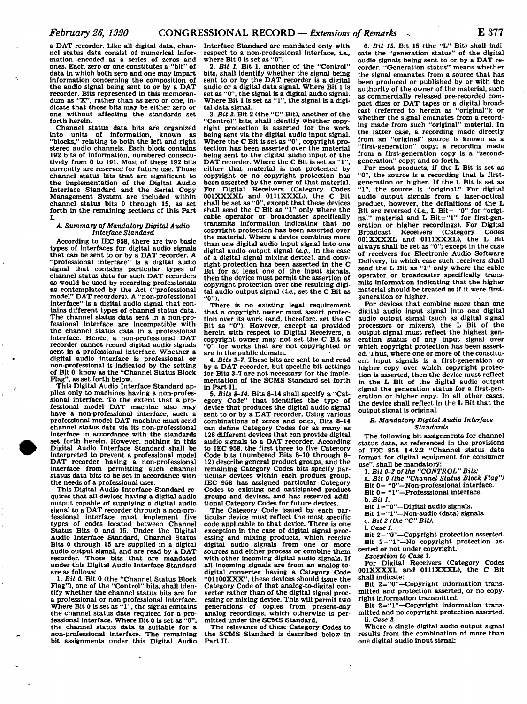**a DAT recorder. Like all digital data, channel status data consist of numerical information encoded as a series of zeros and**  ones. Each zero or one constitutes a "bit" **data in which both zero and one may impart Information concerning the composition of the audio signal being sent to or by a DAT recorder. Bits represented in this memorandum as "X", rather than as zero or one, indicate that those bits may be either zero or one without affecting the standards set forth herein.** 

**Channel status data bits are organized into units of Information, known as "blocks," relating to both the left and right stereo audio channels. Each block contains 192 bits of Information, numbered consecutively from 0 to 191. Most of these 192 bits currently are reserved for future use. Those channel status bits that are significant to the Implementation of the Digital Audio Interface Standard and the Serial Copy Management System are included within channel status bits 0 through IS, as set forth in the remaining sections of this Part I.** 

#### *A. Summary of Mandatory Digital Audio Interface Standard*

**According to IEC 958, there are two basic types of interfaces for digital audio signals that can be sent to or by a DAT recorder. A "professional interface" is a digital audio signal that contains particular types of channel status data for such DAT recorders as would be used by recording professionals as contemplated by the Act ("professional model" DAT recorders). A "non-professional interface" is a digital audio signal that contains different types of channel status data. The channel status data sent in a non-professional interface are incompatible with the channel status data in a professional interface. Hence, a non-professional DAT recorder cannot record digital audio signals sent in a professional interface. Whether a digital audio Interface is professional or non-professional is Indicated by the setting of Bit 0, know as the "Channel Status Block Flag", as set forth below.** 

**This Digital Audio Interface Standard applies only to machines having a non-professional interface. To the extent that a pro-fessional model DAT machine also may have a non-professional interface, such a professional model DAT machine must send channel status data via its non-professional Interface in accordance with the standards set forth herein. However, nothing in this Digital Audio Interface Standard shall be interpreted to prevent a professional model DAT recorder having a non-professional interface from permitting such channel status data bits to be set in accordance with the needs of a professional user.** 

**This Digital Audio Interface Standard requires that all devices having a digital audio output capable of supplying a digital audio signal to a DAT recorder through a non-professional Interface must implement five types of codes located between Channel Status Bits 0 and 15. Under the Digital Audio Interface Standard, Channel Status Bits 0 through 15 are supplied in a digital audio output signal, and are read by a DAT recorder. Those bits that are mandated under this Digital Audio Interface Standard are as follows:** 

**1.** *Bit 0.* **Bit 0 (the "Channel Status Block Flag"), one of the "Control" bits, shall identify whether the channel status bits are for a professional or non-professional interface. Where Bit 0 is set as "1", the signal contains the channel status data required for a professional interface. Where Bit 0 is set as "0", the channel status data is suitable for a non-professional interface. The remaining bit assignments under this Digital Audio** 

**Interface Standard are mandated only with respect to a non-professional interface, ie., where Bit 0 is set as "0".** 

**2.** *Bit 1.* **Bit 1, another of the "Control" bits, shall identify whether the signal being sent to or by the DAT recorder is a digital audio or a digital data signal. Where Bit 1 is set as "0", the signal is a digital audio signal. Where Bit 1 is set as "1", the signal is a digi**tal data signal.

**3.** *Bit 2.* **Bit 2 (the "C" Bit), another of the "Control" bits, shall identify whether copyright protection is asserted for the work being sent via the digital audio input signal. Where the C Bit is set as "0", copyright protection has been asserted over the material being sent to the digital audio input of the**  DAT recorder. Where the C Bit is set as "1" **either that material is not protected by copyright or no copyright protection has been asserted by the owner of that material. For Digital Receivers (Category Codes OOIXXXXL** and **0111XXXL**), the C Bit shall be set as "0", except that these devices <br>
shall send the C Bit as "1" only where the **cable operator or broadcaster specifically transmits information indicating that no copyright protection has been asserted over the material. Where a device combines more than one digital audio Input signal Into one digital audio output signal** *(e.g.,* **in the case of a digital signal mixing device), and copy**or a digital signal mixing device), and copy-<br>**right protection has been asserted in the C Bit for at least one of the input signals, then the device must permit the assertion of copyright protection over the resulting digi-**<br> **copyright protection over the resulting digi**tal audio output signal (*i.e.*, set the C Bit as "0").

**There is no existing legal requirement that a copyright owner must assert protection over its work (and, therefore, set the C Bit as "0"). However, except as provided herein with respect to Digital Receivers, a copyright owner may not set the C Bit as "0" for works that are not copyrighted or are in the public domain.** 

**4.** *Bits 3-7.* **These bits are sent to and read by a DAT recorder, but specific bit settings for Bits 3-7 are not necessary for the implementation of the SCMS Standard set forth in Part II.** 

**5.** *Bits 8-14.* **Bits 8-14 shall specify a "Category Code" that identifies the type of device that produces the digital audio signal sent to or by a DAT recorder. Using various combinations of zeros and ones. Bits 8-14 can define Category Codes for as many as 128 different devices that can provide digital audio signals to a DAT recorder. According to IEC 958, the first three to five Category Code bits (numbered Bits 8-10 through 8- 12) describe general product groups, and the remaining Category Codes bits specify particular devices within each product group. IEC 958 has assigned particular Category Codes to existing and anticipated product groups and devices, and has reserved additional Category Codes for future devices.** 

**The Category Code Issued by each particular device must reflect the most specific code applicable to that device. There is one exception in the case of digital signal processing and mixing products, which receive digital audio signals from one or more sources and either process or combine them with other incoming digital audio signals. If all incoming signals are from an analog-todigital converter having a Category Code "01100XXX", these devices should Issue the Category Code of that analog-to-digital converter rather than of the digital signal processing or mixing device. This will permit two generations of copies from present-day analog recordings, which otherwise is permitted under the SCMS Standard.** 

**The relevance of these Category Codes to the SCMS Standard is described below in Part II.** 

**6.** *Bit IS.* **Bit 15 (the "L" Bit) shall indicate the "generation status" of the digital audio signals being sent to or by a DAT recorder. "Generation status" means whether the signal emanates from a source that has been produced or published by or with the authority of the owner of the material, such as commercially released pre-recorded compact discs or DAT tapes or a digital broadcast (referred to herein as "original"); or whether the signal emanates from a recording made from such "original" material. In the latter case, a recording made directly from an "original" source is known as a "first-generation" copy; a recording made from a first-generation copy is a "secondgeneration" copy; and so forth.** 

**For most products, if the L Bit is set as "0", the source is a recording that is firstgeneration or higher. If the L Bit is set as "1", the source is "original." For digital audio output signals from a laser-optical product, however, the definitions of the L**  Bit are reversed (i.e., L Bit= "0" for "original" material and L Bit="1" for first-gen**eration or higher recordings). For Digital**  Broadcast Receivers (Category **OOIXXXXL and 0111XXXL), the L Bit always shall be set as "0"; except in the case of receivers for Electronic Audio Software Delivery, in which case such receivers shall send the L Bit as "1" only where the cable operator or broadcaster specifically transmits Information indicating that the higher material should be treated as if it were firstgeneration or higher.** 

**For devices that combine more than one digital audio input signal into one digital audio output signal (such as digital signal processors or mixers), the L Bit of the output signal must reflect the highest generation status of any input signal over which copyright protection has been asserted. Thus, where one or more of the constituent input signals is a first-generation or higher copy over which copyright protection is asserted, then the device must reflect in the L Bit of the digital audio output signal the generation status for a first-generation or higher copy. In all other cases, the device shall reflect In the L Bit that the output signal is original.** 

#### *B. Mandatory Digital Audio Interface Standards*

**The following bit assignments for channel status data, as referenced in the provisions**  of IEC 958 **I4.2.2** "Channel status data **format for digital equipment for consumer use", shall be mandatory:** 

**1.** *Bit 0-2 of the "CONTROL" Bits:* 

- **a.** *Bit 0 (the "Channel Status Block Flag")*
- **Bit 0= "0"—Non-professional interface. Bit 0= "1"—Professional interface.**
- 
- **b.** *Bit 1.*
- **Bit 1="0"—Digital audio signals.**
- **Bit 1="1"—Non-audio (data) signals.**
- **c.** *Bit 2 I the "C" Bit).*
- **1. Case** *1.*

**Bit 2="0"—Copyright protection asserted. Bit 2="1"—No copyright protection asserted or not under copyright.** 

*Exception to Case* **1.** 

**For Digital Receivers (Category Codes OOIXXXXL and 0111XXXL), the C Bit shall indicate:** 

**Bit 2="0"—Copyright information transmitted and protection asserted, or no copyright information transmitted.** 

**Bit 2="1"—Copyright information transmitted and no copyright protection asserted. li. Case** *2.* 

**Where a single digital audio output signal results from the combination of more than one digital audio input signal:**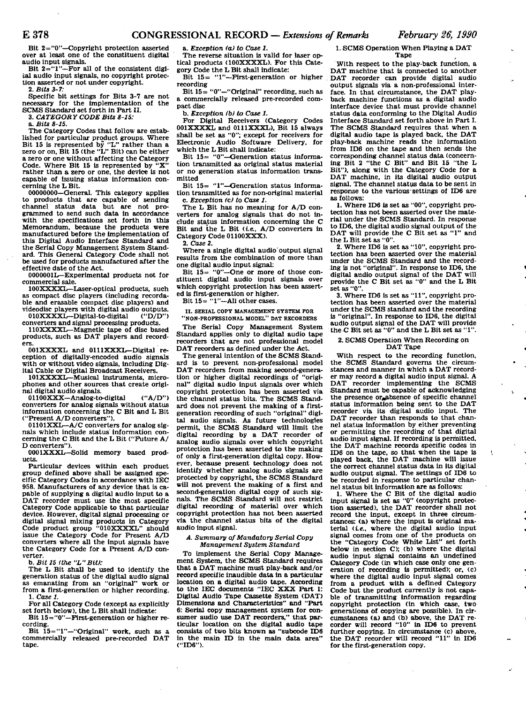ý.

 $\bar{\mathbf{r}}$ 

 $\overline{1}$ 

**Bit 2="0"—Copyright protection asserted over at least one of the constituent digital audio input signals.** 

**Bit 2="1"—For all of the consistent digital audio input signals, no copyright protection asserted or not under copyright.** 

**2.** *Bits 3-7:* 

**Specific bit settings for Bits 3-7 are not necessary for the implementation of the SCMS Standard set forth in Part II.** 

**3.** *CATEGORY CODE Bits 8-15:* 

**a.** *Bits 8-15.* 

**The Category Codes that follow are established for particular product groups. Where Bit 15 is represented by "L" rather than a zero or on. Bit 15 (the "L" Bit) can be either a zero or one without affecting the Category**  Code. Where Bit 15 is represented by **rather than a zero or one, the device is not capable of issuing status information concerning the L Bit.** 

**00000000—General. This category applies to products that are capable of sending channel status data but are not programmed to send such data in accordance with the specifications set forth in this Memorandum, because the products were manufactured before the implementation of this Digital Audio Interface Standard and the Serial Copy Management System Standard. This General Category Code shall not be used for products manufactured after the effective date of the Act.** 

**0000001L—Experimental products not for commercial sale.** 

**lOOXXXXLr—Laser-optical products, such as compact disc players (including recordable and erasable compact disc players) and videodisc players with digital audio outputs.** 

010XXXXL—Digital-to-digital **converters and signal processing products.** 

**110XXXXL—Magnetic tape of disc based products, such as DAT players and recorders.** 

**001XXXXL and OlllXXXL-Digital reception of digitally-encoded audio signals with or without video signals, including Digital Cable or Digital Broadcast Receivers.** 

**101XXXXL—Musical instruments, microphones and other sources that create original digital audio signals.** 

**01100XXX—Analog-to-digital ("A/D") converters for analog signals without status information concerning the C Bit and L Bit ("Present A/D converters").** 

**01101XXL—A/C converters for analog signals which include status information concerning the C Bit and the L Bit ("Future A/ D converters").** 

**0001XXXL—Solid memory based products.** 

**Particular devices within each product group defined above shall be assigned specific Category Codes in accordance with IEC**  958. Manufacturers of any device that is ca**pable of supplying a digital audio Input to a DAT recorder must use the most specific Category Code applicable to that particular device. However, digital signal processing or digital signal mixing products in Category Code product group "010XXXXL" should issue the Category Code for Present A/D converters where all the input signals have the Category Code for a Present A/D converter.** 

**b.** *Bit IS (the "L"Bit):* 

**The L Bit shall be used to identify the generation status of the digital audio signal as emanating from an "original" work or from a first-generation or higher recording. 1.** *Case 1.* 

**For all Category Code (except as explicitly set forth below), the L Bit shall indicate:** 

**Bit 15="0"—First-generation or higher recording.** 

**Bit 15="1"—"Original" work, such as a commercially released pre-recorded DAT tape.** 

**a.** *Exception fa) to Case 1.* 

The reverse situation is valid for laser op**tical products (100XXXXL). For this Category Code the L Bit shall indicate:** 

**Bit 15= "1"—First-generation or higher recording** 

**Bit 15= "0"—"Original" recording, such as a commercially released pre-recorded compact disc** 

**b.** *Exception lb) to Case 1.* 

**For Digital Receivers (Category Codes 001XXXXL and 0111XXXL). Bit 15 always shall be set as "0": except for receivers for Electronic Audio Software Delivery, for which the L Bit shall Indicate:** 

**Bit 15= "©"—Generation status information transmitted as original status material or no generation status information transmitted** 

Bit 15= "1"-Gencration status informa**tion transmitted as for non-original material c.** *Exception (c) to Case 1.* 

**The L Bit has no meaning for A/D converters for analog signals that do not Include status Information concerning the C**  Bit and the L Bit *(i.e.*, A/D converters in **Category Code 01100XXX).** 

**2.** *Case 2.* 

**Where a single digital audio output signal results from the combination of more than one digital audio input signal:** 

**Bit 15= "0"—One or more of those constituent digital audio input signals over which copyright protection has been asserted is first-generation or higher.** 

**Bit 15= "1"—All other cases.** 

**II. SERIAL COPY MANAGEMENT SYSTEM FOR** 

**"NON-PROFESSIONAL MODEL" DAT RECORDERS The Serial Copy Management System Standard applies only to digital audio tape recorders that are not professional model DAT recorders as defined under the Act.** 

**The general Intention of the SCMS Standard is to prevent non-professional model DAT recorders from making second-generation or higher digital recordings of "original" digital audio input signals over which copyright protection has been asserted via the channel status bits. The SCMS Standard does not prevent the making of a firstgeneration recording of such "original" digital audio signals. As future technologies permit, the SCMS Standard will limit the digital recording by a DAT recorder of analog audio signals over which copyright protection has been asserted to the making of only a first-generation digital copy. However, because present technology does not identify whether analog audio signals are protected by copyright, the SCMS Standard will not prevent the making of a first and second-generation digital copy of such signals. The SCMS Standard will not restrict digital recording of material over which copyright protection has not been asserted via the channel status bits of the digital audio input signal.** 

#### *A. Summary of Mandatory Serial Copy Management System Standard*

**To implement the Serial Copy Management System, the SCMS Standard requires that a DAT machine must play-back and/or record specific Inaudible data in a particular location on a digital audio tape. According to the IEC documents "IEC XXX Part 1: Digital Audio Tape Cassette System (DAT) Dimensions and Characteristics" and "Part 6: Serial copy management system for consumer audio use DAT recorders," that particular location on the digital audio tape consists of two bits known as "subcode ID6 in the main ID in the main data area" ("ID6").** 

**1. SCMS Operation When Playing a DAT Tape** 

**With respect to the play-back function, a DAT machine that Is connected to another DAT recorder can provide digital audio output signals via a non-professional interface. In that circumstance, the DAT playback machine functions as a digital audio interface device that must provide channel status data conforming to the Digital Audio Interface Standard set forth above in Part I. The SCMS Standard requires that when a digital audio tape is played back, the DAT play-back machine reads the information from IDS on the tape and then sends the corresponding channel status data (concerning Bit 2 "the C Bit" and Bit 15 "the L Bit"), along with the Category Code for a DAT machine, in its digital audio output signal. The channel status data to be sent in response to the various settings of ID6 are as follows:** 

**1. Where ID6 is set as "00", copyright protection has not been asserted over the material under the SCMS Standard. In response to ID6, the digital audio signal output of the DAT will provide the C Bit set as "1" and the L Bit set as "0".** 

**2. Where ID6 Is set as "10", copyright protection has been asserted over the material under the SCMS Standard and the recording is not "original". In response to ID6, the digital audio output signal of the DAT will provide the C Bit set as "0" and the L Bit set as "0".** 

**3. Where ID6 is set as "11", copyright protection has been asserted over the material under the SCMS standard and the recording is "original". In response to ID6, the digital audio output signal of the DAT will provide the C Bit set as "0" and the L Bit set as "1".** 

#### **2. SCMS Operation When Recording on DAT Tape**

**With respect to the recording function, the SCMS Standard governs the circum-stances and manner In which a DAT recorder may record a digital audio input signal. A DAT recorder implementing the SCMS Standard must be capable of acknowledging**  the presence or absence of specific channel **status information being sent to the DAT recorder via its digital audio Input. The DAT recorder than responds to that channel status Information by either preventing or permitting the recording of that digital audio input signal. If recording is permitted, the DAT machine records specific codes in ID6 on the tape, so that when the tape is played back, the DAT machine will issue the correct channel status data In its digital audio output signal. The settings of ID6 to be recorded in response to particular channel status bit information are as follows:** 

**1. Where the C Bit of the digital audio input signal is set as "0" (copyright protection asserted), the DAT recorder shall not**  record the input, except in three circum**stances: (a) where the input is original material** *(ue.,* **where the digital audio input signal comes from one of the products on the "Category Code White List" set forth below in section C); (b) where the digital audio input signal contains an undefined Category Code (in which case only one generation of recording is permitted); or, (c) where the digital audio input signal comes from a product with a defined Category Code but the product currently is not capable of transmitting information regarding copyright protection (In which case, two generations of copying are possible). In circumstances (a) and (b) above, the DAT recorder will record "10" in ID6 to prevent further copying. In circumstance (c) above, the DAT recorder will record "11" In ID6 for the first-generation copy.**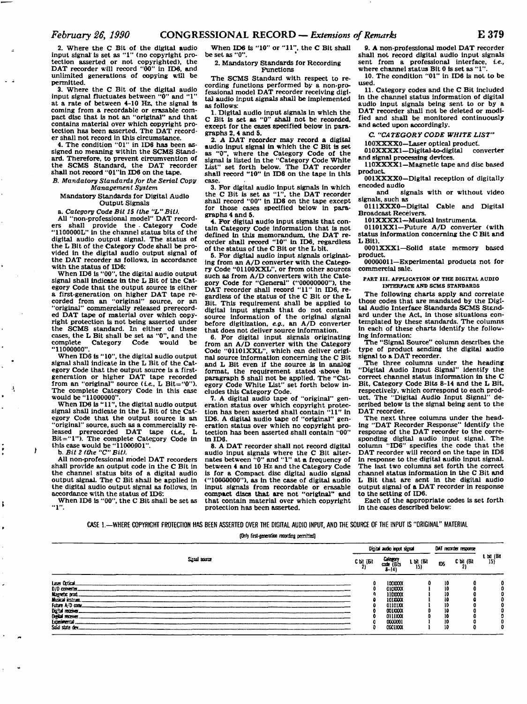**2. Where the C Bit of the digital audio**  input signal' is set as "1" (no copyright pro**tection asserted or not copyrighted), the DAT recorder will record "00" in ID6, and unlimited generations of copying will be permitted.** 

**3. Where the C Bit of the digital audio**  input signal fluctuates between "0" and "1 **at a rate of between 4-10 Hz, the signal is coming from a recordable or erasable compact disc that is not an "original" and that contains material over which copyright protection has been asserted. The DAT record-**

**er shall not record In this circumstance. 4. The condition "01" in IDS has been assigned no meaning within the SCMS Standard. Therefore, to prevent circumvention of the SCMS Standard, the DAT recorder shall not record "01 "in ID6 on the tape.** 

#### *B. Mandatory Standards for the Serial Copy Management System*

**Mandatory Standards for Digital Audio Output Signals** 

**a.** *Category Code Bit IS (the "L"Bit).* 

**All "non-professional model" DAT recorders shall provide the . Category Code "1100000L" in the channel status bits of the digital audio output signal. The status of the L Bit of the Category Code shall be provided in the digital audio output signal of the DAT recorder as follows. In accordance** 

**with the status of XD6: When ID6 is "00", the digital audio output signal shall indicate in the L Bit of the Category Code that the output source is either a first-generation on higher DAT tape re-corded from an "original" source, or an "original" commercially released prerecorded DAT tape of material over which copyright protection Is not being asserted under the SCMS standard. In either of these cases, the L Bit shall be set as "0", and the complete Category Code would be "11000000".** 

**When ID6 Is "10", the digital audio output signal shall indicate in the L Bit of the Category Code that the output source Is a firstgeneration or higher DAT tape recorded from an "original" source (te., L Bit="0"). The complete Category Code in this case would be "11000000".** 

**When ID6 is "11", the digital audio output signal shall indicate in the L Bit of the Category Code that the output source is an "original" source, such as a commercially re**leased prerecorded DAT tape (i.e., L Bit="1"). The complete Category Code in **this case would be "11000001". b.** *Bit 2 (the "C" Bit).* 

ł

j,

**All non-professional model DAT recorders shall provide an output code in the C Bit in the channel status bits of a digital audio output signal The C Bit shall be applied in the digital audio output signal as follows, in accordance with the status of ID6:** 

**When ID6 is "00", the C Bit shall be set as "1".** 

**When ID6 is "10" or "11", the C Bit shall**  be set as "0".

#### **2. Mandatory Standards for Recording Functions**

**The SCMS Standard with respect to recording functions performed by a non-professional model DAT recorder receiving digital audio input signals shall be implemented as follows:** 

**1. Digital audio input signals in which the C Bit is set as "0" shall not be recorded, except for the cases specified below in paragraphs 2, 4 and 5.** 

**2. A DAT recorder may record a digital audio input signal in which the C Bit is set as "0", where the Category Code of the signal is listed in the "Category Code White List" set forth below. The DAT recorder shall record "10" in IDS on the tape in this case.** 

**3. For digital audio input signals in which the C Bit is set as "1", the DAT recorder shall record "00" in IDS on the tape except for those cases specified below in paragraphs 4 and 5.** 

**4. For digital audio input signals that contain Category Code information that is not defined in this memorandum, the DAT recorder shall record "10" in IDS, regardless of the status of the C Bit or the L bit.** 

**5. For digital audio input signals originating from an A/D converter with the Category Code "01100XXL", or from other sources such as from A/D converters with the Category Code for "General" ("00000000"), the DAT recorder shall record "11" in IDS, regardless of the status of the C Bit or the L Bit. This requirement shall be applied to digital input signals that do not contain source information of the original signal before digitization,** *eg.,* **an A/D converter that does not deliver source Information.** 

**6. For digital input signals originating from an A/D converter with the Category Code "01101XXL". which can deliver origi-nal source information concerning the C Bit**  and L Bit even if the source is in analog **format, the requirement stated -above in paragraph 5 shall not be applied. The "Category Code White List" set forth below includes this Category Code.** 

**7. A digital audio tape of "original" generation status over which copyright protec-tion has been asserted shall contain "11" in IDS. A digital audio tape of "original" generation status over which no copyright protection has been asserted shall contain "00" in IDS.** 

**8. A DAT recorder shall not record digital audio input signals where the C Bit alter-nates between "0" and "1" at a frequency of between 4 and 10 Hz and the Category Code is for a Compact disc digital audio signal ("10000000"), as in the case of digital audio input signals from recordable or erasable compact discs that are not "original" and that contain material over which copyright protection has been asserted.** 

**9. A non-professional model DAT recorder shall not record digital audio input signals sent from a professional interface,** *te.,*  **where channel status Bit 0 is set as "1".** 

**10. The condition "01" in IDS is not to be used.** 

**11. Category codes and the C Bit included in the channel status information of digital audio input signals being sent to or by a DAT recorder shall not be deleted or modified and shall be monitored continuously and acted upon accordingly.** 

**C** *"CATEGORY CODE WHITE LIST"* 

**100XXXX0—Laser optical product.**  010XXXX1-Digital-to-digital **and signal processing devices.** 

**110XXXX1—Magnetic tape and disc based product.** 

**001XXXX0—Digital reception of digitally encoded audio** 

**and signals with or without video signals, such as** 

**0111XXX0—Digital Cable and Digital Broadcast Receivers.** 

**101XXXX1—Musical instruments.** 

**01101XX1—Future A/D converter (with status information concerning the C Bit and L Bit).** 

**0001XXX1—Solid state memory based product.** 

**00000011—Experimental products not for commercial sale.** 

**PART III. APPLICATION Or THE DIGITAL AUDIO INTERFACE AND SCMS STANDARDS** 

**The following charts apply and correlate those codes that are mandated by the Digital Audio Interface Standards SCMS Standard under the Act, in those situations contemplated by these standards. The columns in each of these charts identify the following information:** 

**The "Signal Source" column describes the type of product sending the digital audio signal to a DAT recorder.** 

**The three columns under the heading "Digital Audio Input Signal" identify the correct channel status information in the C Bit, Category Code Bits 8-14 and the L Bit, respectively, which correspond to each product. The "Digital Audio Input Signal" described below is the signal being sent to the DAT recorder.** 

**The next three columns under the heading "DAT Recorder Response" identify the response of the DAT recorder to the corresponding digital audio input signal. The column "ID6" specifies the code that the DAT recorder will record on the tape in ID6 in response to the digital audio input signal. The last two columns set forth the correct channel status information in the C Bit and L Bit that are sent in the digital audio output signal of a DAT recorder in response to the setting of IDS.** 

**Each of the appropriate codes is set forth In the cases described below:** 

**CASE l.-WHER E COPYRIGHT PROTECTION HAS BEEN ASSERTED OVER THE DIGITAL AUDIO INPUT, AND THE SOURCE OF THE INPUT IS "ORIGINAL" MATERIAL** 

**[Only first-generation rawing (emitted]** 

|                                                        |               |            |  | Digital audio input signal      |                   |            | DAT recorder response |                     |  |
|--------------------------------------------------------|---------------|------------|--|---------------------------------|-------------------|------------|-----------------------|---------------------|--|
|                                                        | Signal source | C bit (Bit |  | Category<br>code (Bits<br>8-14) | 1 bit (Bit<br>15) | <b>ID6</b> | C bit (Bit            | $L$ bit (Bit<br>15) |  |
|                                                        |               |            |  | 100XXXX                         |                   | 10         |                       |                     |  |
| Laser Optical<br>D/D converter.                        |               |            |  | 0100000                         |                   | 10         |                       |                     |  |
| Magnetic prod.                                         |               |            |  | 1100000                         |                   | 10         |                       |                     |  |
| Musical instrum.                                       |               |            |  | 1012000                         |                   | 10         |                       |                     |  |
| Future A/D conv.                                       |               |            |  | 01101XX                         |                   | 10         |                       |                     |  |
|                                                        |               |            |  | 001XXXX                         |                   | 10         |                       |                     |  |
|                                                        |               |            |  | 0111XXX                         |                   | 10         |                       |                     |  |
| Digital receiver.<br>Digital receiver.<br>Experimental |               |            |  | 0000001                         |                   | 10         |                       |                     |  |
| Sold state dev.                                        |               |            |  | 0001XXX                         |                   | 10         |                       | 0                   |  |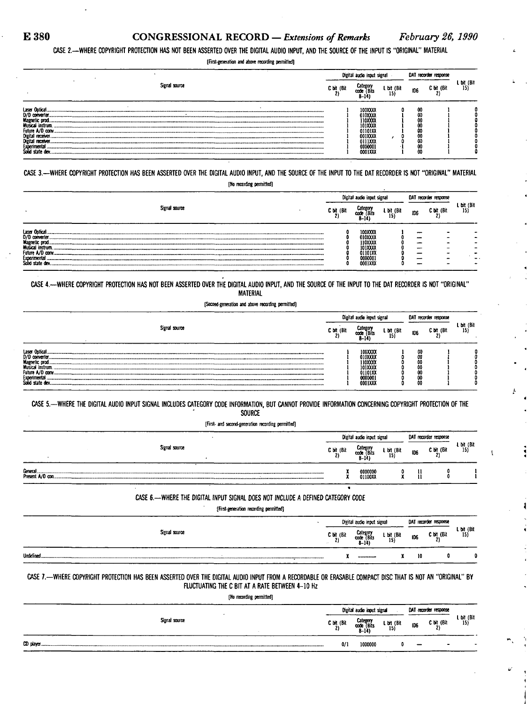$\left\{ \right\}$ 

**CASE 2.—WHERE COPYRIGHT PROTECTION HAS NOT BEEN ASSERTED OVER THE DIGITAL AUDIO INPUT, AND THE SOURCE OF THE INPUT IS "ORIGINAL" MATERIAL** 

**[First-generation and above recording permitted]** 

|                                                                                                                                                                                |            | Digital audio input signal                                                                  |                   |                                              | DAT recorder response |                              |
|--------------------------------------------------------------------------------------------------------------------------------------------------------------------------------|------------|---------------------------------------------------------------------------------------------|-------------------|----------------------------------------------|-----------------------|------------------------------|
| Signal source                                                                                                                                                                  | C brt (Bit | Categon<br>i Bits<br>CO<br>$-19$                                                            | L bit (Bit<br>15) | <b>ID6</b>                                   | C bit (Bit            | L bit (Bit $\frac{15}{15}$ ) |
| Laser Optical<br>D/D converter.<br><b>Magnetic prod.</b><br>Musical instrum.<br>Future A/D conv.<br>Digital receiver.<br>Digital receiver.<br>Experimental<br>Solid state dev. |            | 100XXX<br>010XXX<br>110XXX<br>101XXX<br>01101XX<br>001XXXX<br>0111XXX<br>0000001<br>0001XXX |                   | 00<br>w<br>oo<br>w<br>w<br>w<br>w<br>w<br>00 |                       |                              |

**CASE 3.-WHER E COPYRIGHT PROTECTION HAS BEEN ASSERTED OVER THE DIGITAL AUDIO INPUT, AND THE SOURCE OF THE INPUT TO THE DAT RECORDER IS NOT "ORIGINAL" MATERIAL** 

|  |  | [No recording permitted] |
|--|--|--------------------------|
|--|--|--------------------------|

|                                                                                                                                     |               |            | Digital audio input signal                                              |                   |     | DAT recorder response |                   |
|-------------------------------------------------------------------------------------------------------------------------------------|---------------|------------|-------------------------------------------------------------------------|-------------------|-----|-----------------------|-------------------|
|                                                                                                                                     | Signal source | C bit (Bit | Category<br>ode (Bits<br>œœ<br>8–14                                     | L bit (Bit<br>15) | 106 | C bit (Bit            | L bit (Bit<br>15) |
| Laser Optical<br>D/D converter.<br>Magnetic prod.<br><b>Musical instrum.</b><br>Future A/D conv.<br>Experimental<br>Solid state dev |               |            | 100XXX<br>010XXXX<br>110XXXX<br>101XXX<br>01101XX<br>0000001<br>0001XXX |                   | --  |                       |                   |

CASE 4.--WHERE COPYRIGHT PROTECTION HAS NOT BEEN ASSERTED OVER THE DIGITAL AUDIO INPUT, AND THE SOURCE OF THE INPUT TO THE DAT RECORDER IS NOT "ORIGINAL" **MATERIAL** 

**[Second-generation and above recording permitted]** 

|                                                                                                                                    |            | Digital audio imput signal                                                |                               | DAT recorder response          |            |                   |
|------------------------------------------------------------------------------------------------------------------------------------|------------|---------------------------------------------------------------------------|-------------------------------|--------------------------------|------------|-------------------|
| Signal source                                                                                                                      | C bit (Bit | Category<br>7Bíts<br>con<br>8–14                                          | L bit (Bit<br>15 <sub>l</sub> | <b>ID6</b>                     | C bit (Bit | L bit (Bit<br>15) |
| Laser Optical<br>D/D converter.<br><b>Magnetic prod</b><br>Musical instrum.<br>Future A/D conv.<br>Experimental<br>Solid state dev |            | 100XXXX<br>010XXXX<br>110XXXX<br>101XXXX<br>01101XX<br>0000001<br>0001XXX |                               | œ<br>Œ<br>uu<br>α<br>00<br>-00 |            |                   |

**CASE 5.—WHERE THE DIGITAL AUDIO INPUT SIGNAL INCLUDES CATEGORY CODE INFORMATION, BUT CANNOT PROVIDE INFORMATION CONCERNING COPYRIGHT PROTECTION OF THE SOURCE** 

**[First- and second-generation recording permitted]** 

|                  | DAT recorder response<br>Digital audio input signal |                                     |                     |     |            |                         |
|------------------|-----------------------------------------------------|-------------------------------------|---------------------|-----|------------|-------------------------|
| Signal source    | $C$ bit (Bit                                        | Category<br>code (Bits<br>$8 - 141$ | $L$ bit (Bit<br>15) | ID6 | C bit (Bit | $\frac{1}{15}$ bit (Bit |
| Present A/D con. |                                                     | 0000000<br>01100XX                  |                     |     |            |                         |

**CASE 6.-WHERE THE DIGITAL INPUT SIGNAL DOES NOT INCLUDE A DEFINED CATEGORY CODE** 

**[First-generation recording permitted]** 

**«** 

|                       |                                  | Digital audio input signal         |                   | DAT recorder response |            |                   |
|-----------------------|----------------------------------|------------------------------------|-------------------|-----------------------|------------|-------------------|
| Signal source         | $C \text{ bit }$ (Bit)<br>$\sim$ | Category<br>code (Bits<br>$3 - 14$ | L bit (Bit $15$ ) | ID6                   | C bit (Bit | L bit (Bit $15$ ) |
| Undefined.<br>_______ |                                  |                                    |                   | 10                    | n.         |                   |

### **CASE 7.-WHERE COPYRIGHT PROTECTION HAS BEEN ASSERTED OVER THE DIGITAL AUDIO INPUT RO M A RECORDABLE OR ERASABLE COMPACT DISC THAT IS NOT AN "ORIGINAL" BY FLUCTUATING THE C BIT AT A RATE BETWEEN 4-10 Hz**

**[No recording permitted]** 

|               | Digital audio input signal | DAT recorder response                           |  |                               |                   |
|---------------|----------------------------|-------------------------------------------------|--|-------------------------------|-------------------|
| Signal source |                            | C bit (Bit Category<br>2) code (Bits 3<br>8-14) |  | L bit (Bit 106 C bit (Bit 15) | L bit (Bit<br>15) |
|               | 0/1                        | 1000000                                         |  | $\bullet$                     | -                 |